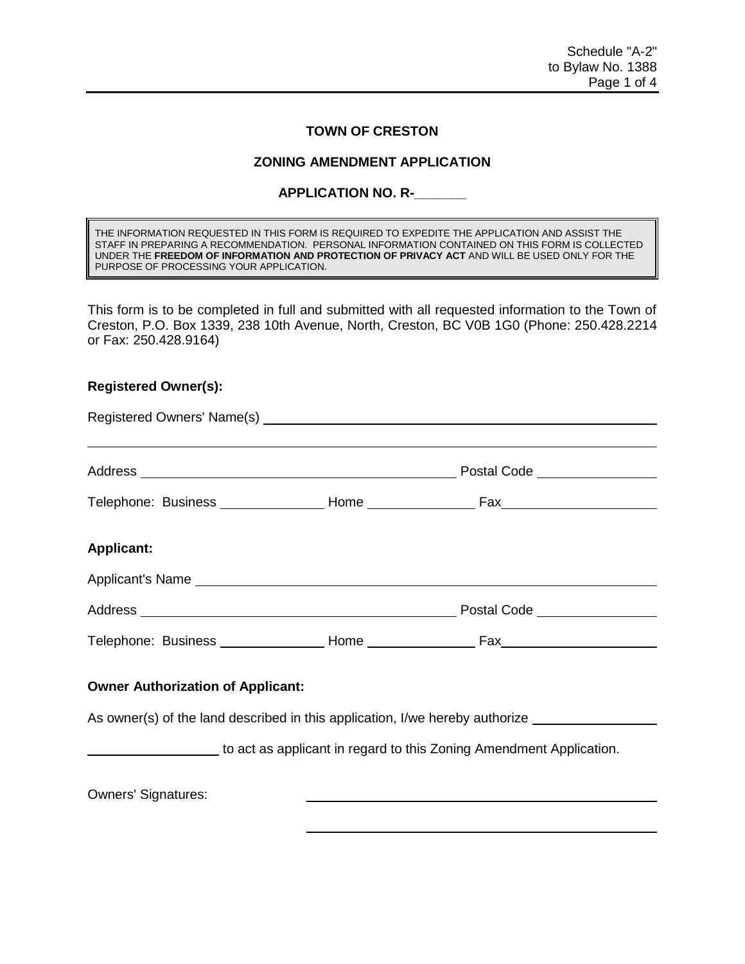## **TOWN OF CRESTON**

## **ZONING AMENDMENT APPLICATION**

## **APPLICATION NO. R-\_\_\_\_\_\_\_**

THE INFORMATION REQUESTED IN THIS FORM IS REQUIRED TO EXPEDITE THE APPLICATION AND ASSIST THE STAFF IN PREPARING A RECOMMENDATION. PERSONAL INFORMATION CONTAINED ON THIS FORM IS COLLECTED UNDER THE **FREEDOM OF INFORMATION AND PROTECTION OF PRIVACY ACT** AND WILL BE USED ONLY FOR THE PURPOSE OF PROCESSING YOUR APPLICATION.

This form is to be completed in full and submitted with all requested information to the Town of Creston, P.O. Box 1339, 238 10th Avenue, North, Creston, BC V0B 1G0 (Phone: 250.428.2214 or Fax: 250.428.9164)

## **Registered Owner(s):**

| <b>Applicant:</b>                                                                                             |  |                                                                                                     |
|---------------------------------------------------------------------------------------------------------------|--|-----------------------------------------------------------------------------------------------------|
| Applicant's Name experience and the state of the state of the state of the state of the state of the state of |  |                                                                                                     |
|                                                                                                               |  |                                                                                                     |
|                                                                                                               |  |                                                                                                     |
| <b>Owner Authorization of Applicant:</b>                                                                      |  |                                                                                                     |
|                                                                                                               |  | As owner(s) of the land described in this application, I/we hereby authorize ______________________ |
|                                                                                                               |  | to act as applicant in regard to this Zoning Amendment Application.                                 |
| <b>Owners' Signatures:</b>                                                                                    |  |                                                                                                     |
|                                                                                                               |  |                                                                                                     |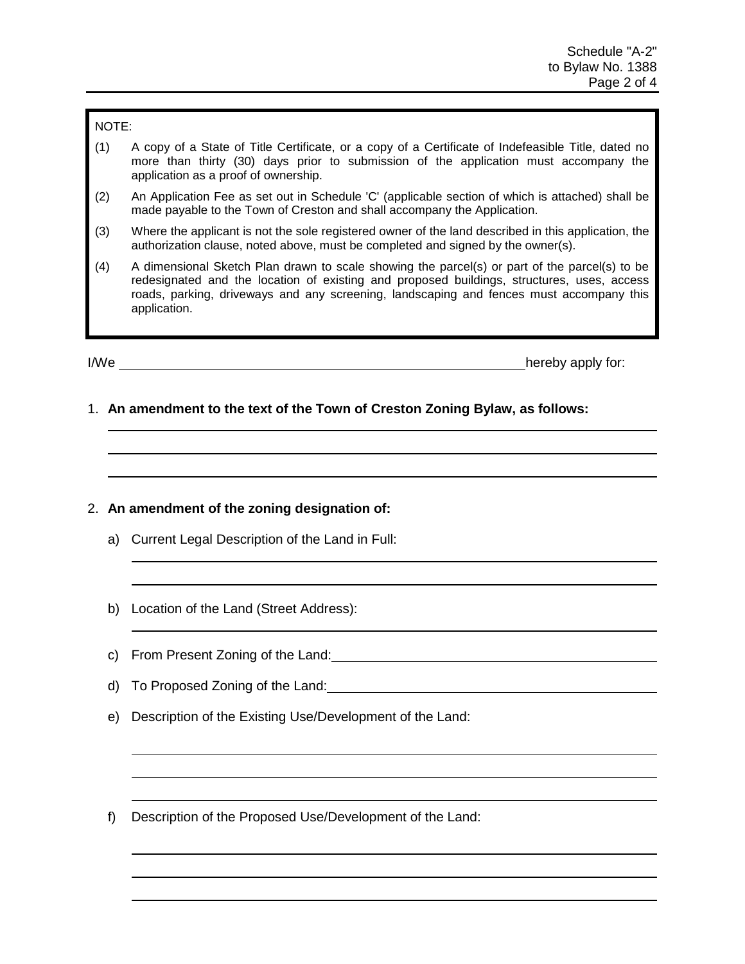#### NOTE:

- (1) A copy of a State of Title Certificate, or a copy of a Certificate of Indefeasible Title, dated no more than thirty (30) days prior to submission of the application must accompany the application as a proof of ownership.
- (2) An Application Fee as set out in Schedule 'C' (applicable section of which is attached) shall be made payable to the Town of Creston and shall accompany the Application.
- (3) Where the applicant is not the sole registered owner of the land described in this application, the authorization clause, noted above, must be completed and signed by the owner(s).
- (4) A dimensional Sketch Plan drawn to scale showing the parcel(s) or part of the parcel(s) to be redesignated and the location of existing and proposed buildings, structures, uses, access roads, parking, driveways and any screening, landscaping and fences must accompany this application.

I/We hereby apply for:

1. **An amendment to the text of the Town of Creston Zoning Bylaw, as follows:**

# 2. **An amendment of the zoning designation of:**

- a) Current Legal Description of the Land in Full:
- b) Location of the Land (Street Address):
- c) From Present Zoning of the Land:
- d) To Proposed Zoning of the Land:
- e) Description of the Existing Use/Development of the Land:
- f) Description of the Proposed Use/Development of the Land: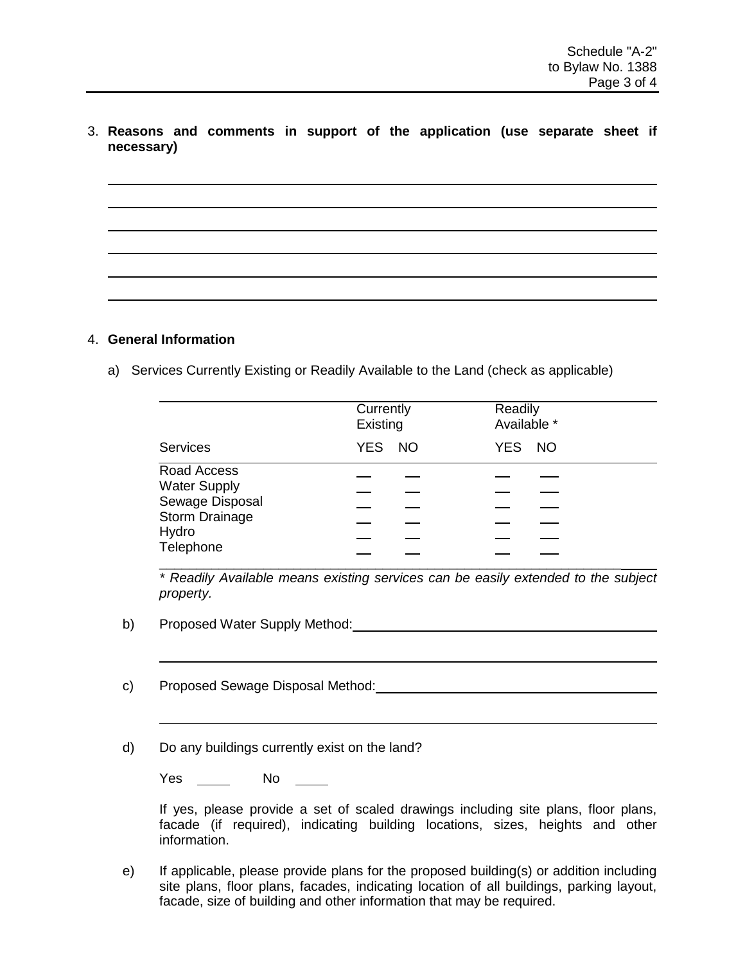3. **Reasons and comments in support of the application (use separate sheet if necessary)**

## 4. **General Information**

a) Services Currently Existing or Readily Available to the Land (check as applicable)

|                                                                                                      | Currently<br>Existing | Readily<br>Available * |
|------------------------------------------------------------------------------------------------------|-----------------------|------------------------|
| <b>Services</b>                                                                                      | YES NO                | YES NO                 |
| Road Access<br><b>Water Supply</b><br>Sewage Disposal<br><b>Storm Drainage</b><br>Hydro<br>Telephone |                       |                        |

 *\* Readily Available means existing services can be easily extended to the subject property.*

- b) Proposed Water Supply Method: Chamber 2014
- c) Proposed Sewage Disposal Method:

d) Do any buildings currently exist on the land?

Yes \_\_\_\_\_\_ No \_\_\_\_\_

If yes, please provide a set of scaled drawings including site plans, floor plans, facade (if required), indicating building locations, sizes, heights and other information.

e) If applicable, please provide plans for the proposed building(s) or addition including site plans, floor plans, facades, indicating location of all buildings, parking layout, facade, size of building and other information that may be required.